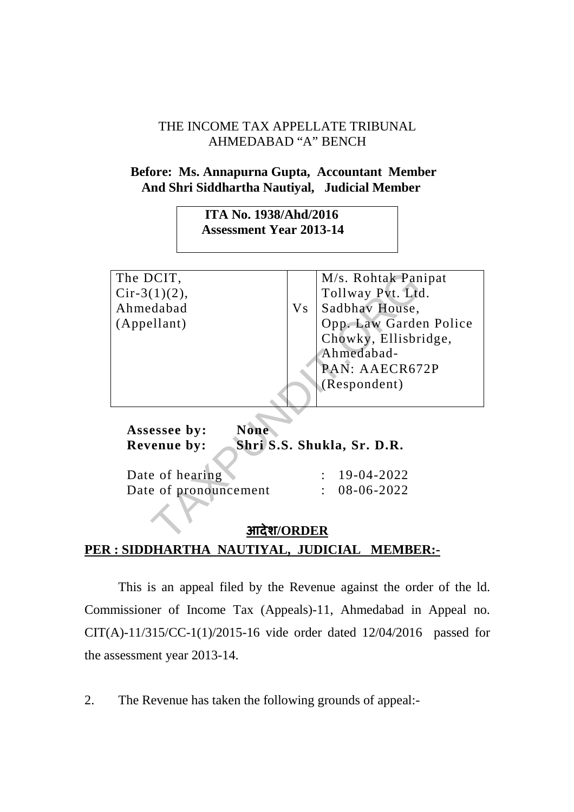## THE INCOME TAX APPELLATE TRIBUNAL AHMEDABAD "A" BENCH

## **Before: Ms. Annapurna Gupta, Accountant Member And Shri Siddhartha Nautiyal, Judicial Member**

 **ITA No. 1938/Ahd/2016 Assessment Year 2013-14** 

| The DCIT,                   | M/s. Rohtak Panipat              |
|-----------------------------|----------------------------------|
| $Cir-3(1)(2)$ ,             | Tollway Pvt. Ltd.                |
|                             |                                  |
| Ahmedabad                   | Sadbhav House,<br>V <sub>S</sub> |
| (Appellant)                 | Opp. Law Garden Police           |
|                             | Chowky, Ellisbridge,             |
|                             | Ahmedabad-                       |
|                             | PAN: AAECR672P                   |
|                             | (Respondent)                     |
|                             |                                  |
|                             |                                  |
| <b>None</b><br>Assessee by: |                                  |
| <b>Revenue by:</b>          | Shri S.S. Shukla, Sr. D.R.       |
|                             |                                  |
| Date of hearing             | $: 19-04-2022$                   |
| Date of pronouncement       | 08-06-2022                       |
|                             |                                  |
| <b>ORDER</b>                |                                  |

## **आदेश/ORDER PER : SIDDHARTHA NAUTIYAL, JUDICIAL MEMBER:-**

This is an appeal filed by the Revenue against the order of the ld. Commissioner of Income Tax (Appeals)-11, Ahmedabad in Appeal no. CIT(A)-11/315/CC-1(1)/2015-16 vide order dated 12/04/2016 passed for the assessment year 2013-14.

2. The Revenue has taken the following grounds of appeal:-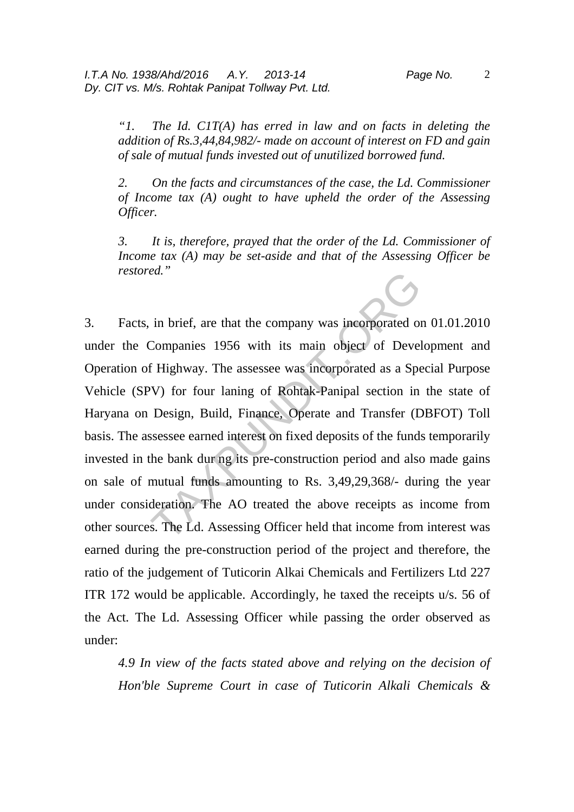*"1. The Id. C1T(A) has erred in law and on facts in deleting the addition of Rs.3,44,84,982/- made on account of interest on FD and gain of sale of mutual funds invested out of unutilized borrowed fund.* 

*2. On the facts and circumstances of the case, the Ld. Commissioner of Income tax (A) ought to have upheld the order of the Assessing Officer.*

*3. It is, therefore, prayed that the order of the Ld. Commissioner of Income tax (A) may be set-aside and that of the Assessing Officer be restored."*

3. Facts, in brief, are that the company was incorporated on 01.01.2010 under the Companies 1956 with its main object of Development and Operation of Highway. The assessee was incorporated as a Special Purpose Vehicle (SPV) for four laning of Rohtak-Panipal section in the state of Haryana on Design, Build, Finance, Operate and Transfer (DBFOT) Toll basis. The assessee earned interest on fixed deposits of the funds temporarily invested in the bank dur ng its pre-construction period and also made gains on sale of mutual funds amounting to Rs. 3,49,29,368/- during the year under consideration. The AO treated the above receipts as income from other sources. The Ld. Assessing Officer held that income from interest was earned during the pre-construction period of the project and therefore, the ratio of the judgement of Tuticorin Alkai Chemicals and Fertilizers Ltd 227 ITR 172 would be applicable. Accordingly, he taxed the receipts u/s. 56 of the Act. The Ld. Assessing Officer while passing the order observed as under: ed.<br>
in brief, are that the company was incorporated or<br>
Companies 1956 with its main object of Devel<br>
f Highway. The assessee was incorporated as a Spe<br>
VV) for four laning of Rohtak-Panipal section in<br>
Design, Build, Fin

*4.9 In view of the facts stated above and relying on the decision of Hon'ble Supreme Court in case of Tuticorin Alkali Chemicals &*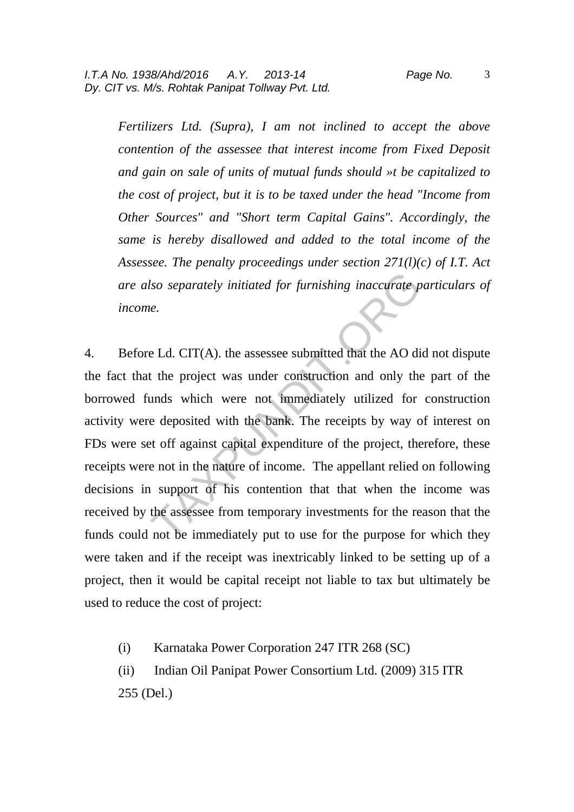3

*Fertilizers Ltd. (Supra), I am not inclined to accept the above contention of the assessee that interest income from Fixed Deposit and gain on sale of units of mutual funds should »t be capitalized to the cost of project, but it is to be taxed under the head "Income from Other Sources" and "Short term Capital Gains". Accordingly, the same is hereby disallowed and added to the total income of the Assessee. The penalty proceedings under section 271(l)(c) of I.T. Act are also separately initiated for furnishing inaccurate particulars of income.* 

4. Before Ld. CIT(A). the assessee submitted that the AO did not dispute the fact that the project was under construction and only the part of the borrowed funds which were not immediately utilized for construction activity were deposited with the bank. The receipts by way of interest on FDs were set off against capital expenditure of the project, therefore, these receipts were not in the nature of income. The appellant relied on following decisions in support of his contention that that when the income was received by the assessee from temporary investments for the reason that the funds could not be immediately put to use for the purpose for which they were taken and if the receipt was inextricably linked to be setting up of a project, then it would be capital receipt not liable to tax but ultimately be used to reduce the cost of project: So separately initiated for furnishing inaccurate p<br>iso separately initiated for furnishing inaccurate p<br>i.e.<br>the Ld. CIT(A), the assessee submitted that the AO di<br>it the project was under construction and only the<br>unds wh

- (i) Karnataka Power Corporation 247 ITR 268 (SC)
- (ii) Indian Oil Panipat Power Consortium Ltd. (2009) 315 ITR
- 255 (Del.)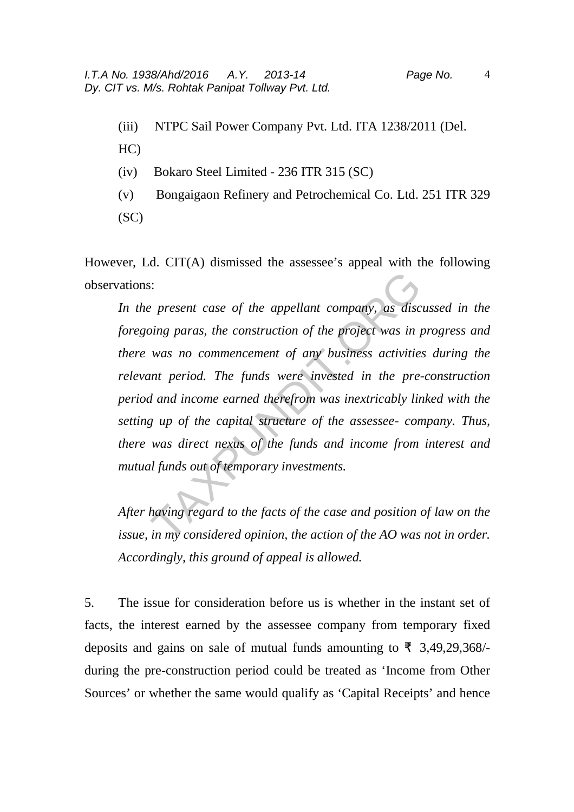- (iii) NTPC Sail Power Company Pvt. Ltd. ITA 1238/2011 (Del.
- HC)
- (iv) Bokaro Steel Limited 236 ITR 315 (SC)
- (v) Bongaigaon Refinery and Petrochemical Co. Ltd. 251 ITR 329  $(SC)$

However, Ld. CIT(A) dismissed the assessee's appeal with the following observations:

*In the present case of the appellant company, as discussed in the foregoing paras, the construction of the project was in progress and there was no commencement of any business activities during the relevant period. The funds were invested in the pre-construction period and income earned therefrom was inextricably linked with the setting up of the capital structure of the assessee- company. Thus, there was direct nexus of the funds and income from interest and mutual funds out of temporary investments.*  Figure 2.1 The appellant company, as discussing paras, the construction of the project was in  $\mu$  was no commencement of any business activities unt period. The funds were invested in the pre-<br>d and income earned therefro

*After having regard to the facts of the case and position of law on the issue, in my considered opinion, the action of the AO was not in order. Accordingly, this ground of appeal is allowed.* 

5. The issue for consideration before us is whether in the instant set of facts, the interest earned by the assessee company from temporary fixed deposits and gains on sale of mutual funds amounting to  $\bar{\tau}$  3,49,29,368/during the pre-construction period could be treated as 'Income from Other Sources' or whether the same would qualify as 'Capital Receipts' and hence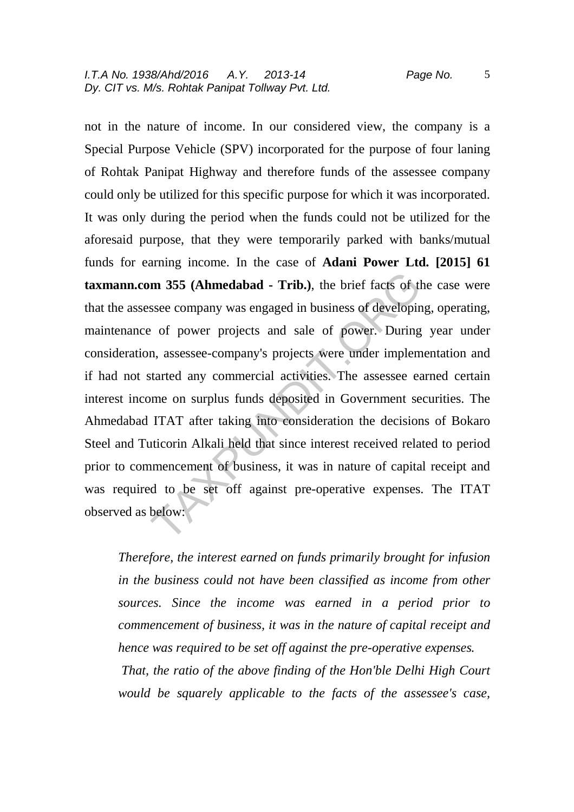not in the nature of income. In our considered view, the company is a Special Purpose Vehicle (SPV) incorporated for the purpose of four laning of Rohtak Panipat Highway and therefore funds of the assessee company could only be utilized for this specific purpose for which it was incorporated. It was only during the period when the funds could not be utilized for the aforesaid purpose, that they were temporarily parked with banks/mutual funds for earning income. In the case of **Adani Power Ltd. [2015] 61 taxmann.com 355 (Ahmedabad - Trib.)**, the brief facts of the case were that the assessee company was engaged in business of developing, operating, maintenance of power projects and sale of power. During year under consideration, assessee-company's projects were under implementation and if had not started any commercial activities. The assessee earned certain interest income on surplus funds deposited in Government securities. The Ahmedabad ITAT after taking into consideration the decisions of Bokaro Steel and Tuticorin Alkali held that since interest received related to period prior to commencement of business, it was in nature of capital receipt and was required to be set off against pre-operative expenses. The ITAT observed as below: **m 355 (Ahmedabad - Trib.)**, the brief facts of the ssee company was engaged in business of developine of power projects and sale of power. During n, assessee-company's projects were under implem started any commercial act

*Therefore, the interest earned on funds primarily brought for infusion in the business could not have been classified as income from other sources. Since the income was earned in a period prior to commencement of business, it was in the nature of capital receipt and hence was required to be set off against the pre-operative expenses. That, the ratio of the above finding of the Hon'ble Delhi High Court would be squarely applicable to the facts of the assessee's case,*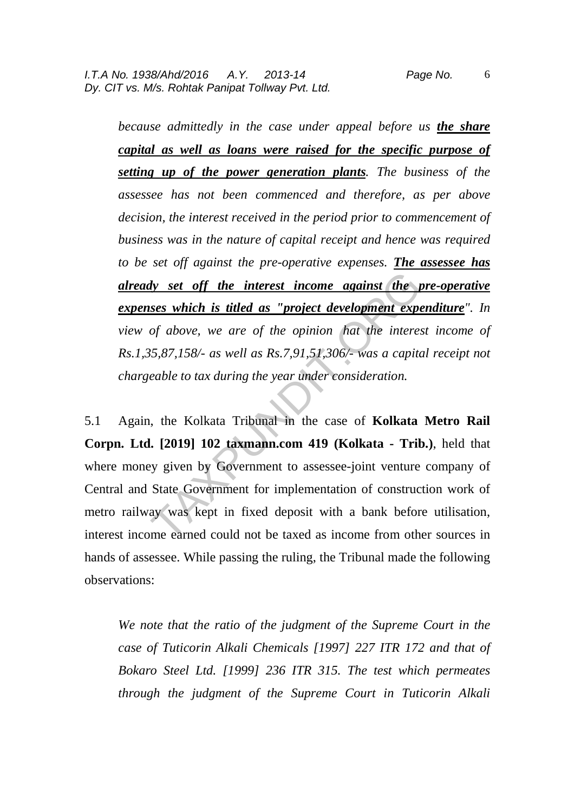*because admittedly in the case under appeal before us the share capital as well as loans were raised for the specific purpose of setting up of the power generation plants. The business of the assessee has not been commenced and therefore, as per above decision, the interest received in the period prior to commencement of business was in the nature of capital receipt and hence was required to be set off against the pre-operative expenses. The assessee has already set off the interest income against the pre-operative expenses which is titled as "project development expenditure". In view of above, we are of the opinion hat the interest income of Rs.1,35,87,158/- as well as Rs.7,91,51,306/- was a capital receipt not chargeable to tax during the year under consideration.* 

5.1 Again, the Kolkata Tribunal in the case of **Kolkata Metro Rail Corpn. Ltd. [2019] 102 taxmann.com 419 (Kolkata - Trib.)**, held that where money given by Government to assessee-joint venture company of Central and State Government for implementation of construction work of metro railway was kept in fixed deposit with a bank before utilisation, interest income earned could not be taxed as income from other sources in hands of assessee. While passing the ruling, the Tribunal made the following observations: dy set off the interest income against the protocologies which is titled as "project development experient of above, we are of the opinion hat the interest  $5,87,158/3$  as well as Rs.7,91,51,306/- was a capitalized to tax

*We note that the ratio of the judgment of the Supreme Court in the case of Tuticorin Alkali Chemicals [1997] 227 ITR 172 and that of Bokaro Steel Ltd. [1999] 236 ITR 315. The test which permeates through the judgment of the Supreme Court in Tuticorin Alkali*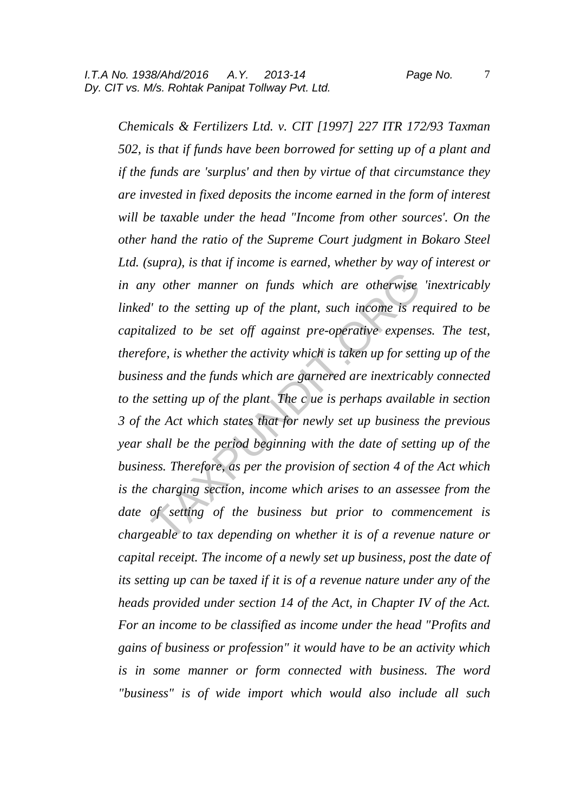*Chemicals & Fertilizers Ltd. v. CIT [1997] 227 ITR 172/93 Taxman 502, is that if funds have been borrowed for setting up of a plant and if the funds are 'surplus' and then by virtue of that circumstance they are invested in fixed deposits the income earned in the form of interest will be taxable under the head "Income from other sources'. On the other hand the ratio of the Supreme Court judgment in Bokaro Steel Ltd. (supra), is that if income is earned, whether by way of interest or in any other manner on funds which are otherwise 'inextricably linked' to the setting up of the plant, such income is required to be capitalized to be set off against pre-operative expenses. The test, therefore, is whether the activity which is taken up for setting up of the business and the funds which are garnered are inextricably connected to the setting up of the plant The c ue is perhaps available in section 3 of the Act which states that for newly set up business the previous year shall be the period beginning with the date of setting up of the business. Therefore, as per the provision of section 4 of the Act which is the charging section, income which arises to an assessee from the date of setting of the business but prior to commencement is chargeable to tax depending on whether it is of a revenue nature or capital receipt. The income of a newly set up business, post the date of its setting up can be taxed if it is of a revenue nature under any of the heads provided under section 14 of the Act, in Chapter IV of the Act. For an income to be classified as income under the head "Profits and gains of business or profession" it would have to be an activity which is in some manner or form connected with business. The word "business" is of wide import which would also include all such*  y other manner on funds which are otherwise<br>I' to the setting up of the plant, such income is re<br>lized to be set off against pre-operative expensiore, is whether the activity which is taken up for sett<br>ess and the funds wh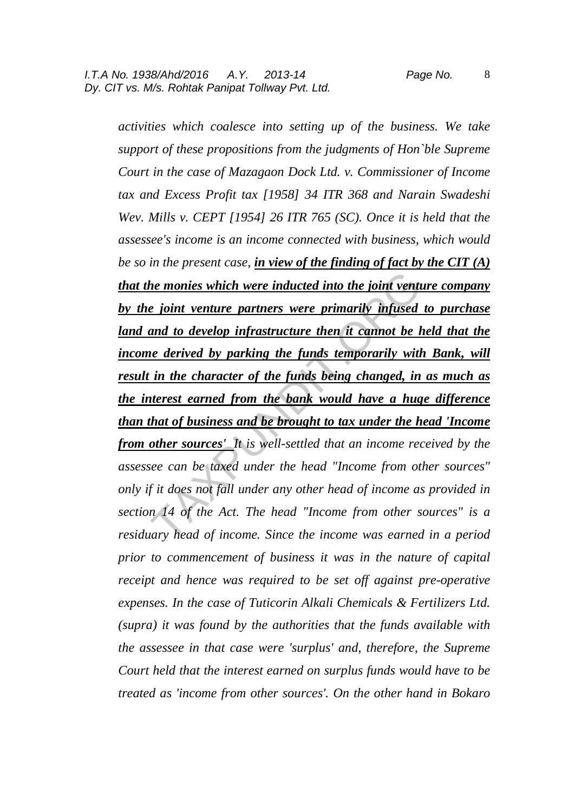8

*activities which coalesce into setting up of the business. We take support of these propositions from the judgments of Hon`ble Supreme Court in the case of Mazagaon Dock Ltd. v. Commissioner of Income tax and Excess Profit tax [1958] 34 ITR 368 and Narain Swadeshi Wev. Mills v. CEPT [1954] 26 ITR 765 (SC). Once it is held that the assessee's income is an income connected with business, which would be so in the present case, in view of the finding of fact by the CIT (A) that the monies which were inducted into the joint venture company by the joint venture partners were primarily infused to purchase*  land and to develop infrastructure then it cannot be held that the *income derived by parking the funds temporarily with Bank, will result in the character of the funds being changed, in as much as the interest earned from the bank would have a huge difference than that of business and be brought to tax under the head 'Income from other sources' It is well-settled that an income received by the assessee can be taxed under the head "Income from other sources" only if it does not fall under any other head of income as provided in section 14 of the Act. The head "Income from other sources" is a residuary head of income. Since the income was earned in a period prior to commencement of business it was in the nature of capital receipt and hence was required to be set off against pre-operative expenses. In the case of Tuticorin Alkali Chemicals & Fertilizers Ltd. (supra) it was found by the authorities that the funds available with the assessee in that case were 'surplus' and, therefore, the Supreme Court held that the interest earned on surplus funds would have to be treated as 'income from other sources'. On the other hand in Bokaro*  the monies which were inducted into the joint venture<br>
into venture partners were primarily infused<br>
into develop infrastructure then it cannot be head to develop infrastructure then it cannot be head<br>
in the character of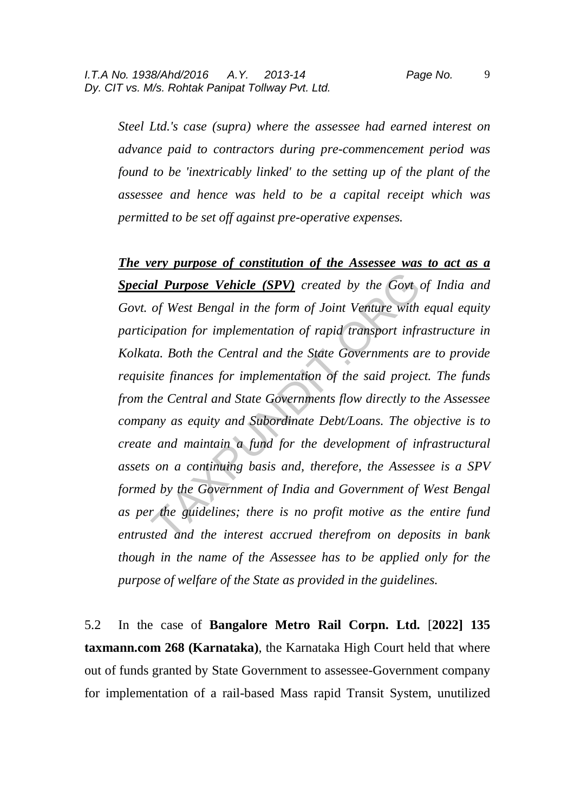*Steel Ltd.'s case (supra) where the assessee had earned interest on advance paid to contractors during pre-commencement period was found to be 'inextricably linked' to the setting up of the plant of the assessee and hence was held to be a capital receipt which was permitted to be set off against pre-operative expenses.* 

*The very purpose of constitution of the Assessee was to act as a Special Purpose Vehicle (SPV) created by the Govt of India and Govt. of West Bengal in the form of Joint Venture with equal equity participation for implementation of rapid transport infrastructure in Kolkata. Both the Central and the State Governments are to provide requisite finances for implementation of the said project. The funds from the Central and State Governments flow directly to the Assessee company as equity and Subordinate Debt/Loans. The objective is to create and maintain a fund for the development of infrastructural assets on a continuing basis and, therefore, the Assessee is a SPV formed by the Government of India and Government of West Bengal as per the guidelines; there is no profit motive as the entire fund entrusted and the interest accrued therefrom on deposits in bank though in the name of the Assessee has to be applied only for the purpose of welfare of the State as provided in the guidelines.*  al Purpose Vehicle (SPV) created by the Govt of West Bengal in the form of Joint Venture with ipation for implementation of rapid transport infrita. Both the Central and the State Governments and ite finances for implement

5.2 In the case of **Bangalore Metro Rail Corpn. Ltd.** [**2022] 135 taxmann.com 268 (Karnataka)**, the Karnataka High Court held that where out of funds granted by State Government to assessee-Government company for implementation of a rail-based Mass rapid Transit System, unutilized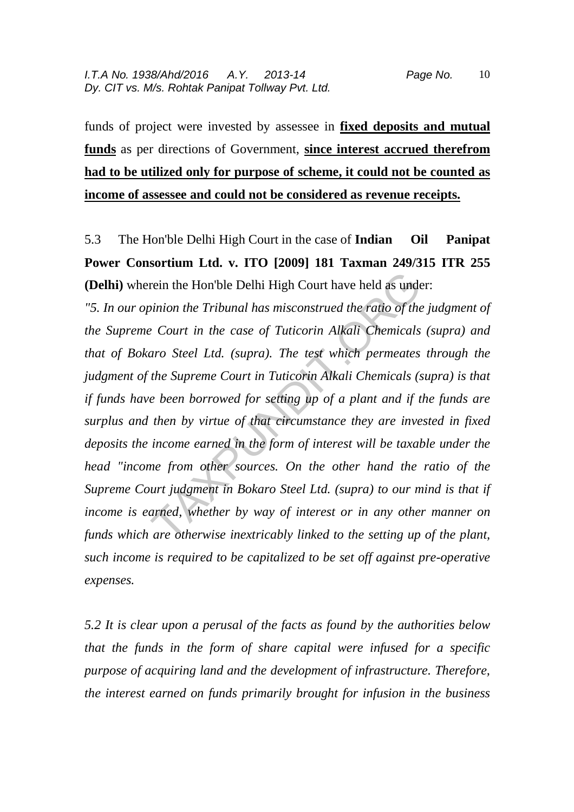funds of project were invested by assessee in **fixed deposits and mutual funds** as per directions of Government, **since interest accrued therefrom had to be utilized only for purpose of scheme, it could not be counted as income of assessee and could not be considered as revenue receipts.**

5.3 The Hon'ble Delhi High Court in the case of **Indian Oil Panipat Power Consortium Ltd. v. ITO [2009] 181 Taxman 249/315 ITR 255 (Delhi)** wherein the Hon'ble Delhi High Court have held as under:

*"5. In our opinion the Tribunal has misconstrued the ratio of the judgment of the Supreme Court in the case of Tuticorin Alkali Chemicals (supra) and that of Bokaro Steel Ltd. (supra). The test which permeates through the judgment of the Supreme Court in Tuticorin Alkali Chemicals (supra) is that if funds have been borrowed for setting up of a plant and if the funds are surplus and then by virtue of that circumstance they are invested in fixed deposits the income earned in the form of interest will be taxable under the head "income from other sources. On the other hand the ratio of the Supreme Court judgment in Bokaro Steel Ltd. (supra) to our mind is that if income is earned, whether by way of interest or in any other manner on funds which are otherwise inextricably linked to the setting up of the plant, such income is required to be capitalized to be set off against pre-operative expenses.*  rein the Hon'ble Delhi High Court have held as underpinion the Tribunal has misconstrued the ratio of the<br>
2 Court in the case of Tuticorin Alkali Chemicals<br>
2 Court in the case of Tuticorin Alkali Chemicals<br>
4 Court in Tu

*5.2 It is clear upon a perusal of the facts as found by the authorities below that the funds in the form of share capital were infused for a specific purpose of acquiring land and the development of infrastructure. Therefore, the interest earned on funds primarily brought for infusion in the business*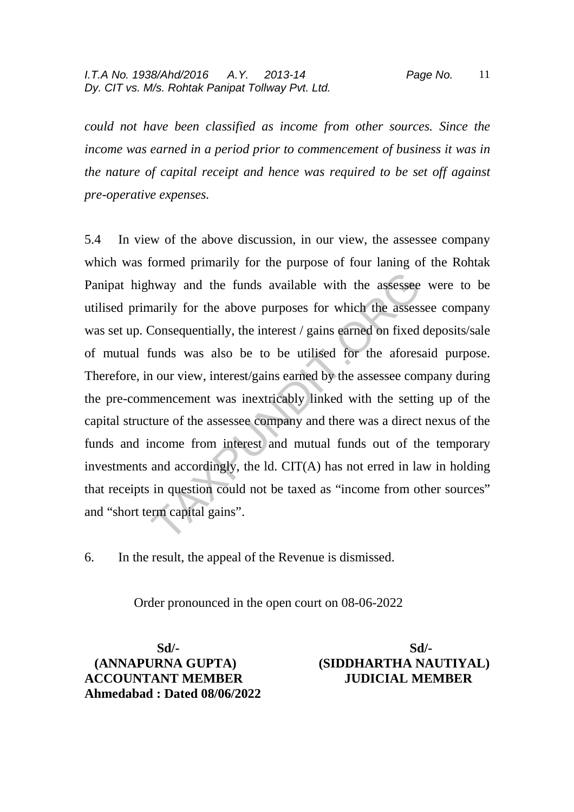*could not have been classified as income from other sources. Since the income was earned in a period prior to commencement of business it was in the nature of capital receipt and hence was required to be set off against pre-operative expenses.* 

5.4 In view of the above discussion, in our view, the assessee company which was formed primarily for the purpose of four laning of the Rohtak Panipat highway and the funds available with the assessee were to be utilised primarily for the above purposes for which the assessee company was set up. Consequentially, the interest / gains earned on fixed deposits/sale of mutual funds was also be to be utilised for the aforesaid purpose. Therefore, in our view, interest/gains earned by the assessee company during the pre-commencement was inextricably linked with the setting up of the capital structure of the assessee company and there was a direct nexus of the funds and income from interest and mutual funds out of the temporary investments and accordingly, the ld. CIT(A) has not erred in law in holding that receipts in question could not be taxed as "income from other sources" and "short term capital gains". hway and the funds available with the assessee<br>narily for the above purposes for which the assesse<br>Consequentially, the interest / gains earned on fixed<br>funds was also be to be utilised for the afores<br>n our view, interest/

6. In the result, the appeal of the Revenue is dismissed.

Order pronounced in the open court on 08-06-2022

 **Sd/- Sd/- (ANNAPURNA GUPTA) (SIDDHARTHA NAUTIYAL) ACCOUNTANT MEMBER JUDICIAL MEMBER Ahmedabad : Dated 08/06/2022**